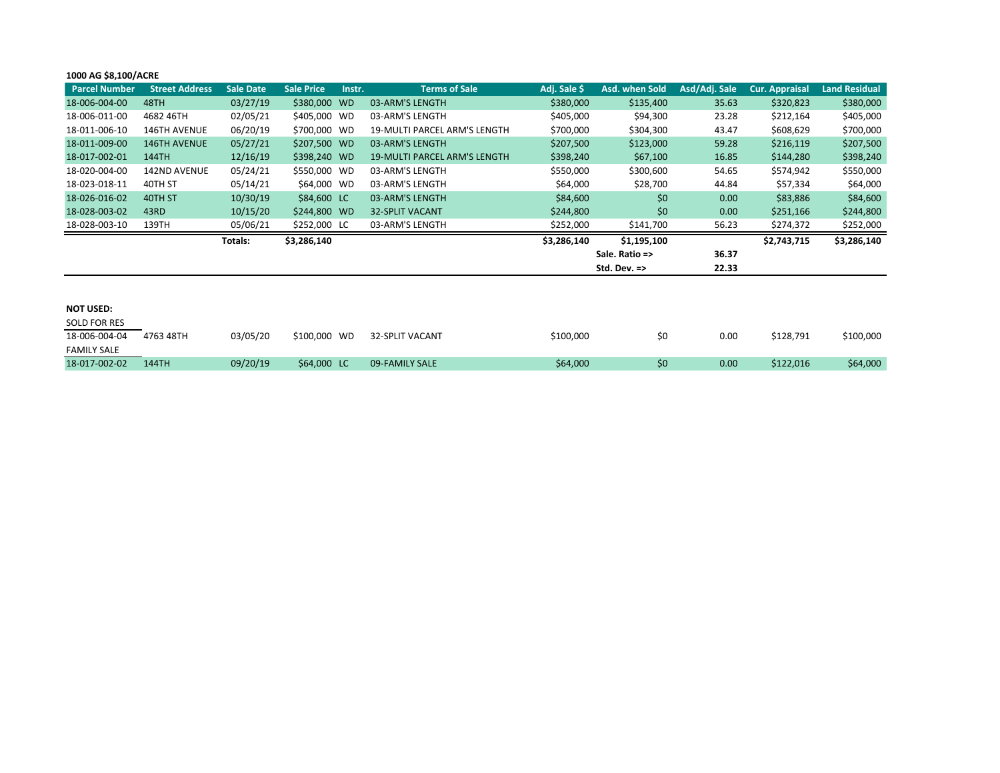## **1000 AG \$8,100/ACRE**

| <b>Parcel Number</b> | <b>Street Address</b> | <b>Sale Date</b> | <b>Sale Price</b> | Instr. | <b>Terms of Sale</b>                | Adj. Sale \$ | Asd. when Sold          | Asd/Adj. Sale | <b>Cur. Appraisal</b> | <b>Land Residual</b> |
|----------------------|-----------------------|------------------|-------------------|--------|-------------------------------------|--------------|-------------------------|---------------|-----------------------|----------------------|
| 18-006-004-00        | 48TH                  | 03/27/19         | \$380,000 WD      |        | 03-ARM'S LENGTH                     | \$380,000    | \$135,400               | 35.63         | \$320,823             | \$380,000            |
| 18-006-011-00        | 4682 46TH             | 02/05/21         | \$405,000 WD      |        | 03-ARM'S LENGTH                     | \$405,000    | \$94,300                | 23.28         | \$212,164             | \$405,000            |
| 18-011-006-10        | <b>146TH AVENUE</b>   | 06/20/19         | \$700,000 WD      |        | <b>19-MULTI PARCEL ARM'S LENGTH</b> | \$700,000    | \$304,300               | 43.47         | \$608,629             | \$700,000            |
| 18-011-009-00        | <b>146TH AVENUE</b>   | 05/27/21         | \$207,500 WD      |        | 03-ARM'S LENGTH                     | \$207,500    | \$123,000               | 59.28         | \$216,119             | \$207,500            |
| 18-017-002-01        | 144TH                 | 12/16/19         | \$398,240 WD      |        | <b>19-MULTI PARCEL ARM'S LENGTH</b> | \$398,240    | \$67,100                | 16.85         | \$144,280             | \$398,240            |
| 18-020-004-00        | <b>142ND AVENUE</b>   | 05/24/21         | \$550,000 WD      |        | 03-ARM'S LENGTH                     | \$550,000    | \$300,600               | 54.65         | \$574,942             | \$550,000            |
| 18-023-018-11        | 40TH ST               | 05/14/21         | \$64,000 WD       |        | 03-ARM'S LENGTH                     | \$64,000     | \$28,700                | 44.84         | \$57,334              | \$64,000             |
| 18-026-016-02        | 40TH ST               | 10/30/19         | \$84,600 LC       |        | 03-ARM'S LENGTH                     | \$84,600     | \$0                     | 0.00          | \$83,886              | \$84,600             |
| 18-028-003-02        | 43RD                  | 10/15/20         | \$244,800 WD      |        | <b>32-SPLIT VACANT</b>              | \$244,800    | \$0                     | 0.00          | \$251,166             | \$244,800            |
| 18-028-003-10        | 139TH                 | 05/06/21         | \$252,000 LC      |        | 03-ARM'S LENGTH                     | \$252,000    | \$141,700               | 56.23         | \$274,372             | \$252,000            |
|                      |                       | Totals:          | \$3,286,140       |        |                                     | \$3,286,140  | \$1,195,100             |               | \$2,743,715           | \$3,286,140          |
|                      |                       |                  |                   |        |                                     |              | Sale. Ratio =>          | 36.37         |                       |                      |
|                      |                       |                  |                   |        |                                     |              | Std. Dev. $\Rightarrow$ | 22.33         |                       |                      |
|                      |                       |                  |                   |        |                                     |              |                         |               |                       |                      |
|                      |                       |                  |                   |        |                                     |              |                         |               |                       |                      |
| <b>NOT USED:</b>     |                       |                  |                   |        |                                     |              |                         |               |                       |                      |

| SOLD FOR RES       |           |          |              |                 |           |     |      |           |           |
|--------------------|-----------|----------|--------------|-----------------|-----------|-----|------|-----------|-----------|
| 18-006-004-04      | 4763 48TH | 03/05/20 | \$100,000 WD | 32-SPLIT VACANT | \$100,000 | \$0 | 0.00 | \$128.791 | \$100,000 |
| <b>FAMILY SALE</b> |           |          |              |                 |           |     |      |           |           |
| 18-017-002-02      | 144TH     | 09/20/19 | \$64,000 LC  | 09-FAMILY SALE  | \$64,000  | \$0 | 0.00 | \$122.016 | \$64,000  |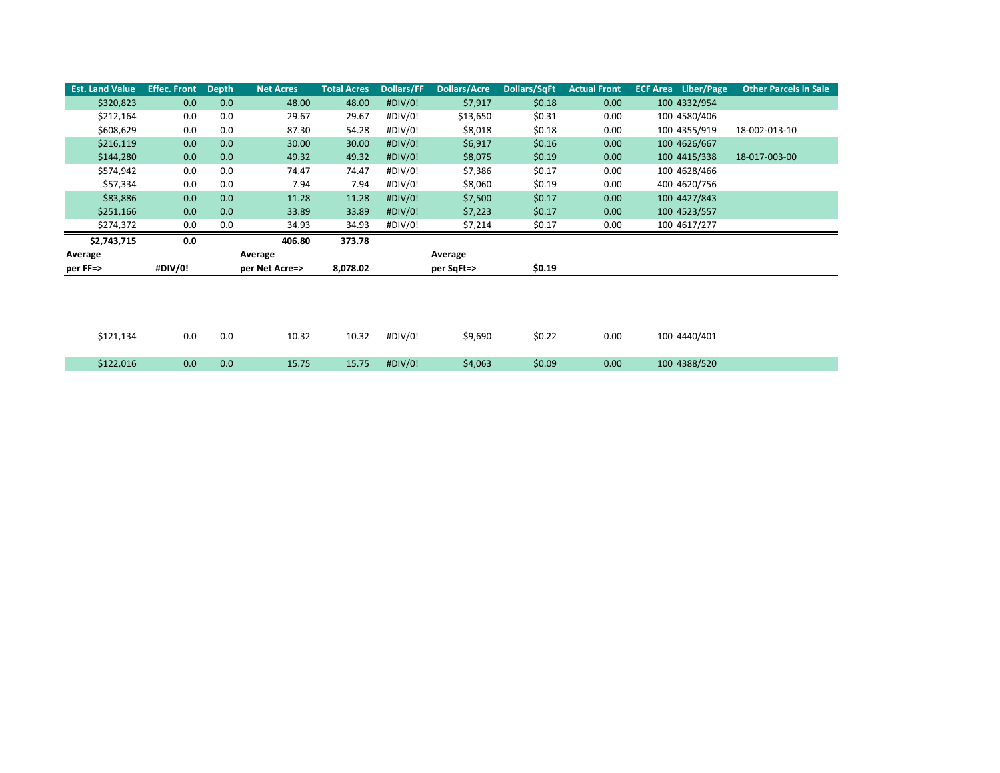| <b>Est. Land Value</b> | <b>Effec. Front</b> | <b>Depth</b> | <b>Net Acres</b> | <b>Total Acres</b> | Dollars/FF | <b>Dollars/Acre</b> | Dollars/SqFt | <b>Actual Front</b> | <b>ECF Area</b> Liber/Page | <b>Other Parcels in Sale</b> |
|------------------------|---------------------|--------------|------------------|--------------------|------------|---------------------|--------------|---------------------|----------------------------|------------------------------|
| \$320,823              | 0.0                 | 0.0          | 48.00            | 48.00              | #DIV/0!    | \$7,917             | \$0.18       | 0.00                | 100 4332/954               |                              |
| \$212,164              | 0.0                 | 0.0          | 29.67            | 29.67              | #DIV/0!    | \$13,650            | \$0.31       | 0.00                | 100 4580/406               |                              |
| \$608,629              | 0.0                 | 0.0          | 87.30            | 54.28              | #DIV/0!    | \$8,018             | \$0.18       | 0.00                | 100 4355/919               | 18-002-013-10                |
| \$216,119              | 0.0                 | 0.0          | 30.00            | 30.00              | #DIV/0!    | \$6,917             | \$0.16       | 0.00                | 100 4626/667               |                              |
| \$144,280              | 0.0                 | 0.0          | 49.32            | 49.32              | #DIV/0!    | \$8,075             | \$0.19       | 0.00                | 100 4415/338               | 18-017-003-00                |
| \$574,942              | 0.0                 | 0.0          | 74.47            | 74.47              | #DIV/0!    | \$7,386             | \$0.17       | 0.00                | 100 4628/466               |                              |
| \$57,334               | 0.0                 | 0.0          | 7.94             | 7.94               | #DIV/0!    | \$8,060             | \$0.19       | 0.00                | 400 4620/756               |                              |
| \$83,886               | 0.0                 | 0.0          | 11.28            | 11.28              | #DIV/0!    | \$7,500             | \$0.17       | 0.00                | 100 4427/843               |                              |
| \$251,166              | 0.0                 | 0.0          | 33.89            | 33.89              | #DIV/0!    | \$7,223             | \$0.17       | 0.00                | 100 4523/557               |                              |
| \$274,372              | 0.0                 | 0.0          | 34.93            | 34.93              | #DIV/0!    | \$7,214             | \$0.17       | 0.00                | 100 4617/277               |                              |
|                        |                     |              |                  |                    |            |                     |              |                     |                            |                              |
| \$2,743,715            | 0.0                 |              | 406.80           | 373.78             |            |                     |              |                     |                            |                              |
| Average                |                     |              | Average          |                    |            | Average             |              |                     |                            |                              |
| per FF=>               | #DIV/0!             |              | per Net Acre=>   | 8,078.02           |            | per SqFt=>          | \$0.19       |                     |                            |                              |
|                        |                     |              |                  |                    |            |                     |              |                     |                            |                              |
|                        |                     |              |                  |                    |            |                     |              |                     |                            |                              |
|                        |                     |              |                  |                    |            |                     |              |                     |                            |                              |
|                        |                     |              |                  |                    |            |                     |              |                     |                            |                              |
| \$121,134              | 0.0                 | 0.0          | 10.32            | 10.32              | #DIV/0!    | \$9,690             | \$0.22       | 0.00                | 100 4440/401               |                              |
| \$122,016              | 0.0                 | 0.0          | 15.75            | 15.75              | #DIV/0!    | \$4,063             | \$0.09       | 0.00                | 100 4388/520               |                              |